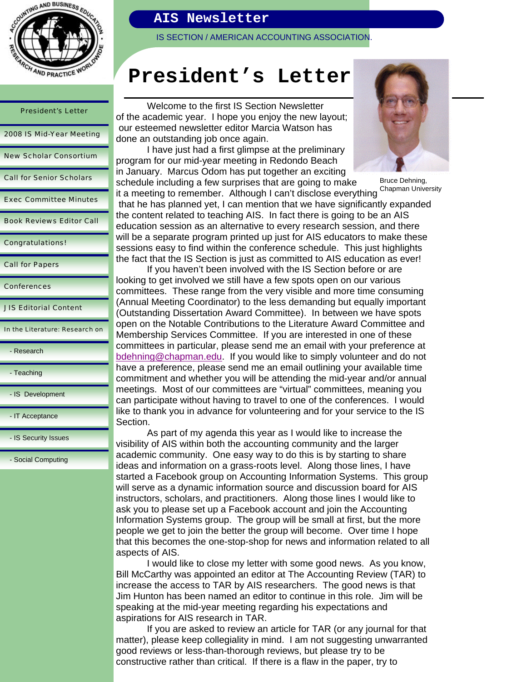

# President's Letter 2008 IS Mid-Year Meeting New Scholar Consortium Call for Senior Scholars Exec Committee Minutes Book Reviews Editor Call Congratulations! Call for Papers

Conferences

JIS Editorial Content

In the Literature: Research on

- Research

- Teaching

- IS Development

- IT Acceptance

- IS Security Issues

- Social Computing

### **AIS Newsletter**

IS SECTION / AMERICAN ACCOUNTING ASSOCIATION.

# **President's Letter**

 Welcome to the first IS Section Newsletter of the academic year. I hope you enjoy the new layout; our esteemed newsletter editor Marcia Watson has done an outstanding job once again.

 I have just had a first glimpse at the preliminary program for our mid-year meeting in Redondo Beach in January. Marcus Odom has put together an exciting schedule including a few surprises that are going to make



Bruce Dehning, Chapman University

it a meeting to remember. Although I can't disclose everything that he has planned yet, I can mention that we have significantly expanded the content related to teaching AIS. In fact there is going to be an AIS education session as an alternative to every research session, and there will be a separate program printed up just for AIS educators to make these sessions easy to find within the conference schedule. This just highlights the fact that the IS Section is just as committed to AIS education as ever!

 If you haven't been involved with the IS Section before or are looking to get involved we still have a few spots open on our various committees. These range from the very visible and more time consuming (Annual Meeting Coordinator) to the less demanding but equally important (Outstanding Dissertation Award Committee). In between we have spots open on the Notable Contributions to the Literature Award Committee and Membership Services Committee. If you are interested in one of these committees in particular, please send me an email with your preference at bdehning@chapman.edu. If you would like to simply volunteer and do not have a preference, please send me an email outlining your available time commitment and whether you will be attending the mid-year and/or annual meetings. Most of our committees are "virtual" committees, meaning you can participate without having to travel to one of the conferences. I would like to thank you in advance for volunteering and for your service to the IS Section.

 As part of my agenda this year as I would like to increase the visibility of AIS within both the accounting community and the larger academic community. One easy way to do this is by starting to share ideas and information on a grass-roots level. Along those lines, I have started a Facebook group on Accounting Information Systems. This group will serve as a dynamic information source and discussion board for AIS instructors, scholars, and practitioners. Along those lines I would like to ask you to please set up a Facebook account and join the Accounting Information Systems group. The group will be small at first, but the more people we get to join the better the group will become. Over time I hope that this becomes the one-stop-shop for news and information related to all aspects of AIS.

 I would like to close my letter with some good news. As you know, Bill McCarthy was appointed an editor at The Accounting Review (TAR) to increase the access to TAR by AIS researchers. The good news is that Jim Hunton has been named an editor to continue in this role. Jim will be speaking at the mid-year meeting regarding his expectations and aspirations for AIS research in TAR.

 If you are asked to review an article for TAR (or any journal for that matter), please keep collegiality in mind. I am not suggesting unwarranted good reviews or less-than-thorough reviews, but please try to be constructive rather than critical. If there is a flaw in the paper, try to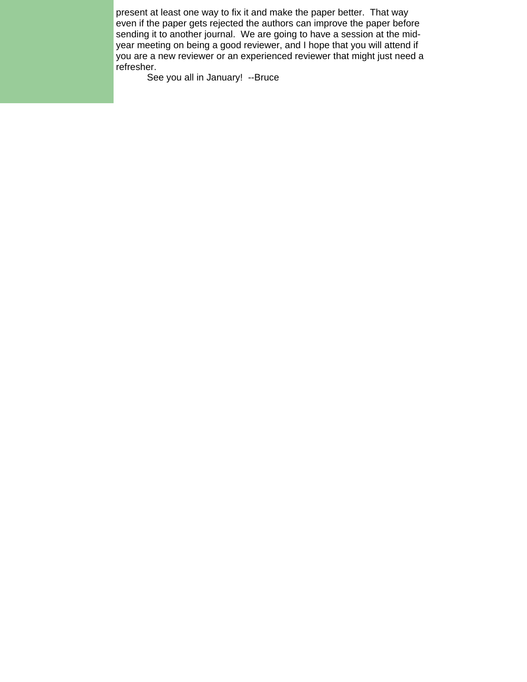present at least one way to fix it and make the paper better. That way even if the paper gets rejected the authors can improve the paper before sending it to another journal. We are going to have a session at the midyear meeting on being a good reviewer, and I hope that you will attend if you are a new reviewer or an experienced reviewer that might just need a refresher.

See you all in January! --Bruce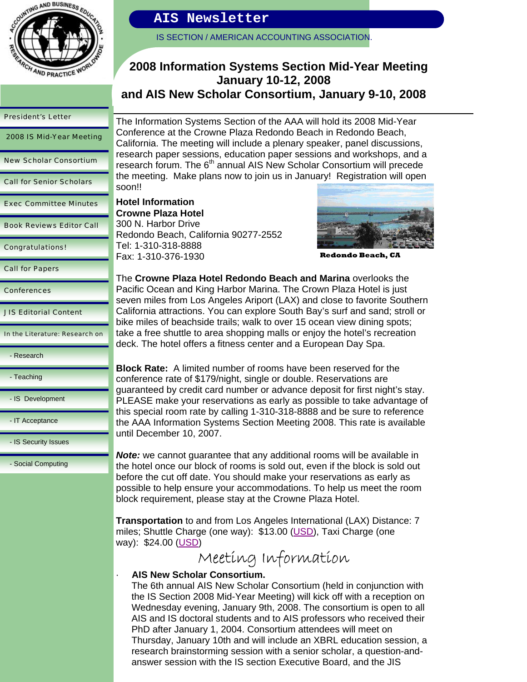

IS SECTION / AMERICAN ACCOUNTING ASSOCIATION.

### **2008 Information Systems Section Mid-Year Meeting January 10-12, 2008 and AIS New Scholar Consortium, January 9-10, 2008**

#### President's Letter

2008 IS Mid-Year Meeting

New Scholar Consortium

Call for Senior Scholars

Exec Committee Minutes

Book Reviews Editor Call

Congratulations!

Call for Papers

Conferences

JIS Editorial Content

In the Literature: Research on

- Research

- Teaching

- IS Development

- IT Acceptance

- IS Security Issues

- Social Computing

The Information Systems Section of the AAA will hold its 2008 Mid-Year Conference at the Crowne Plaza Redondo Beach in Redondo Beach, California. The meeting will include a plenary speaker, panel discussions, research paper sessions, education paper sessions and workshops, and a research forum. The 6<sup>th</sup> annual AIS New Scholar Consortium will precede the meeting. Make plans now to join us in January! Registration will open soon!!

**Hotel Information Crowne Plaza Hotel**  300 N. Harbor Drive Redondo Beach, California 90277-2552 Tel: 1-310-318-8888 Fax: 1-310-376-1930



**Redondo Beach, CA** 

The **Crowne Plaza Hotel Redondo Beach and Marina** overlooks the Pacific Ocean and King Harbor Marina. The Crown Plaza Hotel is just seven miles from Los Angeles Ariport (LAX) and close to favorite Southern California attractions. You can explore South Bay's surf and sand; stroll or bike miles of beachside trails; walk to over 15 ocean view dining spots; take a free shuttle to area shopping malls or enjoy the hotel's recreation deck. The hotel offers a fitness center and a European Day Spa.

**Block Rate:** A limited number of rooms have been reserved for the conference rate of \$179/night, single or double. Reservations are guaranteed by credit card number or advance deposit for first night's stay. PLEASE make your reservations as early as possible to take advantage of this special room rate by calling 1-310-318-8888 and be sure to reference the AAA Information Systems Section Meeting 2008. This rate is available until December 10, 2007.

*Note:* we cannot quarantee that any additional rooms will be available in the hotel once our block of rooms is sold out, even if the block is sold out before the cut off date. You should make your reservations as early as possible to help ensure your accommodations. To help us meet the room block requirement, please stay at the Crowne Plaza Hotel.

**Transportation** to and from Los Angeles International (LAX) Distance: 7 miles; Shuttle Charge (one way): \$13.00 (USD), Taxi Charge (one way): \$24.00 (USD)

# Meeting Information

#### · **AIS New Scholar Consortium.**

The 6th annual AIS New Scholar Consortium (held in conjunction with the IS Section 2008 Mid-Year Meeting) will kick off with a reception on Wednesday evening, January 9th, 2008. The consortium is open to all AIS and IS doctoral students and to AIS professors who received their PhD after January 1, 2004. Consortium attendees will meet on Thursday, January 10th and will include an XBRL education session, a research brainstorming session with a senior scholar, a question-andanswer session with the IS section Executive Board, and the JIS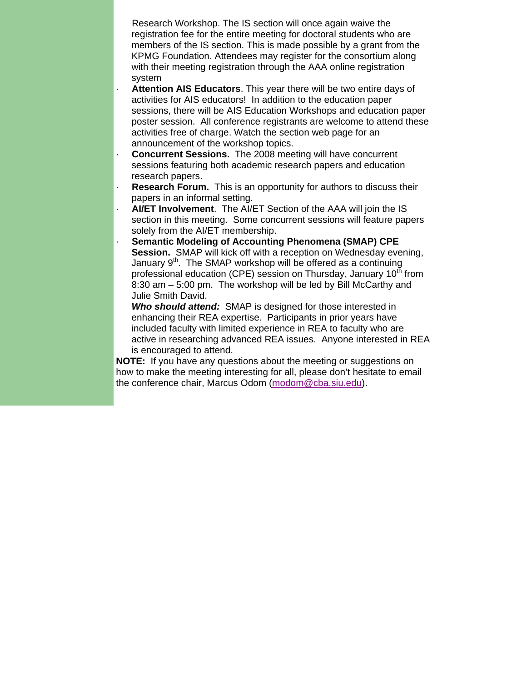Research Workshop. The IS section will once again waive the registration fee for the entire meeting for doctoral students who are members of the IS section. This is made possible by a grant from the KPMG Foundation. Attendees may register for the consortium along with their meeting registration through the AAA online registration system

- Attention AIS Educators. This year there will be two entire days of activities for AIS educators! In addition to the education paper sessions, there will be AIS Education Workshops and education paper poster session. All conference registrants are welcome to attend these activities free of charge. Watch the section web page for an announcement of the workshop topics.
- **Concurrent Sessions.** The 2008 meeting will have concurrent sessions featuring both academic research papers and education research papers.
- **Research Forum.** This is an opportunity for authors to discuss their papers in an informal setting.
- · **AI/ET Involvement**. The AI/ET Section of the AAA will join the IS section in this meeting. Some concurrent sessions will feature papers solely from the AI/ET membership.
- **Semantic Modeling of Accounting Phenomena (SMAP) CPE Session.** SMAP will kick off with a reception on Wednesday evening, January  $9<sup>th</sup>$ . The SMAP workshop will be offered as a continuing professional education (CPE) session on Thursday, January 10<sup>th</sup> from 8:30 am – 5:00 pm. The workshop will be led by Bill McCarthy and Julie Smith David.

*Who should attend:* SMAP is designed for those interested in enhancing their REA expertise. Participants in prior years have included faculty with limited experience in REA to faculty who are active in researching advanced REA issues. Anyone interested in REA is encouraged to attend.

**NOTE:** If you have any questions about the meeting or suggestions on how to make the meeting interesting for all, please don't hesitate to email the conference chair, Marcus Odom (modom@cba.siu.edu).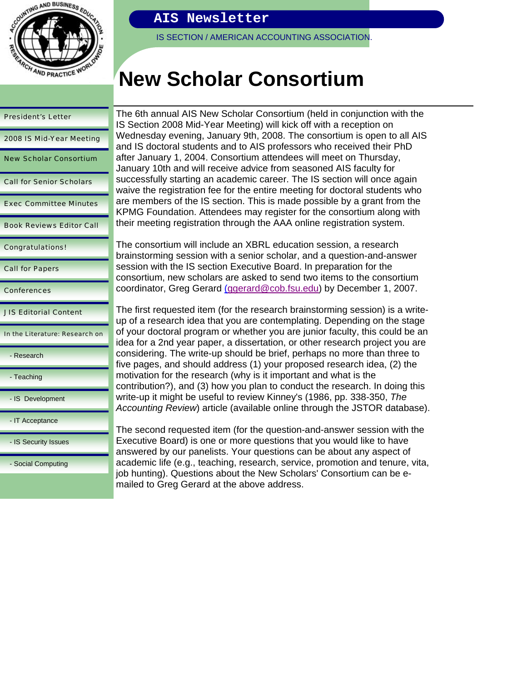

# President's Letter 2008 IS Mid-Year Meeting New Scholar Consortium Call for Senior Scholars Exec Committee Minutes Book Reviews Editor Call Congratulations! Call for Papers Conferences JIS Editorial Content In the Literature: Research on - Research - Teaching - IS Development - IT Acceptance - IS Security Issues - Social Computing

# **AIS Newsletter**

IS SECTION / AMERICAN ACCOUNTING ASSOCIATION.

# **New Scholar Consortium**

The 6th annual AIS New Scholar Consortium (held in conjunction with the IS Section 2008 Mid-Year Meeting) will kick off with a reception on Wednesday evening, January 9th, 2008. The consortium is open to all AIS and IS doctoral students and to AIS professors who received their PhD after January 1, 2004. Consortium attendees will meet on Thursday, January 10th and will receive advice from seasoned AIS faculty for successfully starting an academic career. The IS section will once again waive the registration fee for the entire meeting for doctoral students who are members of the IS section. This is made possible by a grant from the KPMG Foundation. Attendees may register for the consortium along with their meeting registration through the AAA online registration system.

The consortium will include an XBRL education session, a research brainstorming session with a senior scholar, and a question-and-answer session with the IS section Executive Board. In preparation for the consortium, new scholars are asked to send two items to the consortium coordinator, Greg Gerard (ggerard@cob.fsu.edu) by December 1, 2007.

The first requested item (for the research brainstorming session) is a writeup of a research idea that you are contemplating. Depending on the stage of your doctoral program or whether you are junior faculty, this could be an idea for a 2nd year paper, a dissertation, or other research project you are considering. The write-up should be brief, perhaps no more than three to five pages, and should address (1) your proposed research idea, (2) the motivation for the research (why is it important and what is the contribution?), and (3) how you plan to conduct the research. In doing this write-up it might be useful to review Kinney's (1986, pp. 338-350, *The Accounting Review*) article (available online through the JSTOR database).

The second requested item (for the question-and-answer session with the Executive Board) is one or more questions that you would like to have answered by our panelists. Your questions can be about any aspect of academic life (e.g., teaching, research, service, promotion and tenure, vita, job hunting). Questions about the New Scholars' Consortium can be emailed to Greg Gerard at the above address.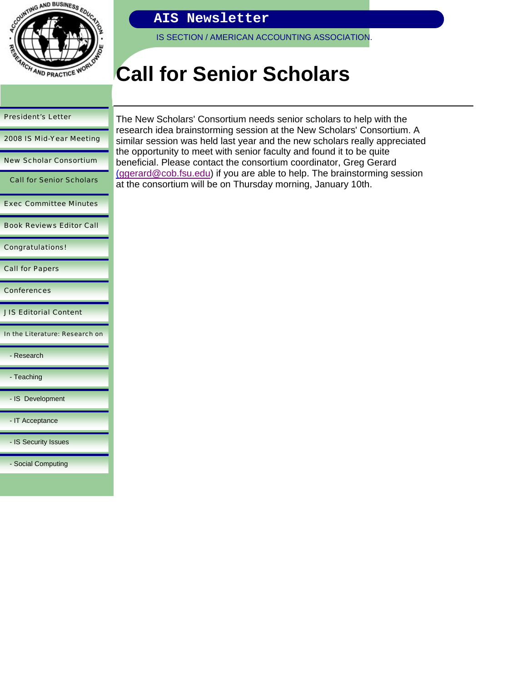

IS SECTION / AMERICAN ACCOUNTING ASSOCIATION.

# **Call for Senior Scholars**

#### President's Letter

2008 IS Mid-Year Meeting

New Scholar Consortium

Call for Senior Scholars

Exec Committee Minutes

Book Reviews Editor Call

Congratulations!

Call for Papers

Conferences

JIS Editorial Content

In the Literature: Research on

- Research

- Teaching

- IS Development

- IT Acceptance

- IS Security Issues

- Social Computing

The New Scholars' Consortium needs senior scholars to help with the research idea brainstorming session at the New Scholars' Consortium. A similar session was held last year and the new scholars really appreciated the opportunity to meet with senior faculty and found it to be quite beneficial. Please contact the consortium coordinator, Greg Gerard (ggerard@cob.fsu.edu) if you are able to help. The brainstorming session at the consortium will be on Thursday morning, January 10th.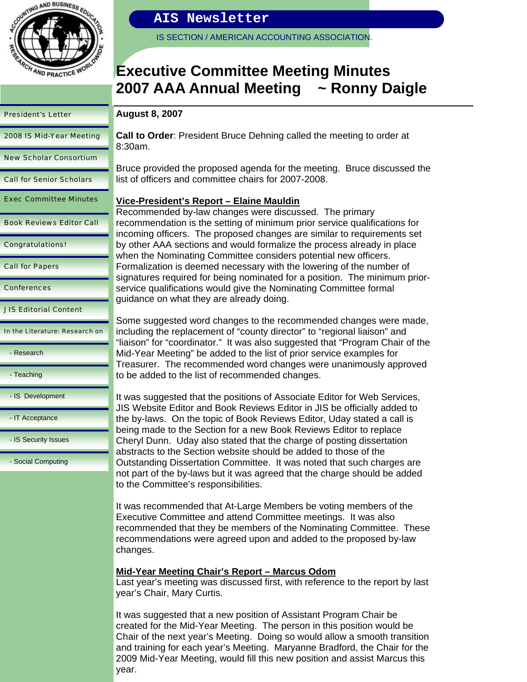

2008 IS Mid-Year Meeting

New Scholar Consortium

Call for Senior Scholars

Exec Committee Minutes

Book Reviews Editor Call

Congratulations!

Call for Papers

**Conferences** 

JIS Editorial Content

In the Literature: Research on

### **AIS Newsletter**

IS SECTION / AMERICAN ACCOUNTING ASSOCIATION.

# **Executive Committee Meeting Minutes 2007 AAA Annual Meeting ~ Ronny Daigle**

#### **August 8, 2007**

**Call to Order**: President Bruce Dehning called the meeting to order at 8:30am.

Bruce provided the proposed agenda for the meeting. Bruce discussed the list of officers and committee chairs for 2007-2008.

#### **Vice-President's Report – Elaine Mauldin**

Recommended by-law changes were discussed. The primary recommendation is the setting of minimum prior service qualifications for incoming officers. The proposed changes are similar to requirements set by other AAA sections and would formalize the process already in place when the Nominating Committee considers potential new officers. Formalization is deemed necessary with the lowering of the number of signatures required for being nominated for a position. The minimum priorservice qualifications would give the Nominating Committee formal guidance on what they are already doing.

Some suggested word changes to the recommended changes were made, including the replacement of "county director" to "regional liaison" and "liaison" for "coordinator." It was also suggested that "Program Chair of the Mid-Year Meeting" be added to the list of prior service examples for Treasurer. The recommended word changes were unanimously approved to be added to the list of recommended changes.

It was suggested that the positions of Associate Editor for Web Services, JIS Website Editor and Book Reviews Editor in JIS be officially added to the by-laws. On the topic of Book Reviews Editor, Uday stated a call is being made to the Section for a new Book Reviews Editor to replace Cheryl Dunn. Uday also stated that the charge of posting dissertation abstracts to the Section website should be added to those of the Outstanding Dissertation Committee. It was noted that such charges are not part of the by-laws but it was agreed that the charge should be added to the Committee's responsibilities.

It was recommended that At-Large Members be voting members of the Executive Committee and attend Committee meetings. It was also recommended that they be members of the Nominating Committee. These recommendations were agreed upon and added to the proposed by-law changes.

#### **Mid-Year Meeting Chair's Report – Marcus Odom**

Last year's meeting was discussed first, with reference to the report by last year's Chair, Mary Curtis.

It was suggested that a new position of Assistant Program Chair be created for the Mid-Year Meeting. The person in this position would be Chair of the next year's Meeting. Doing so would allow a smooth transition and training for each year's Meeting. Maryanne Bradford, the Chair for the 2009 Mid-Year Meeting, would fill this new position and assist Marcus this year.

- Teaching

- Research

- IS Development

- IT Acceptance

- IS Security Issues

- Social Computing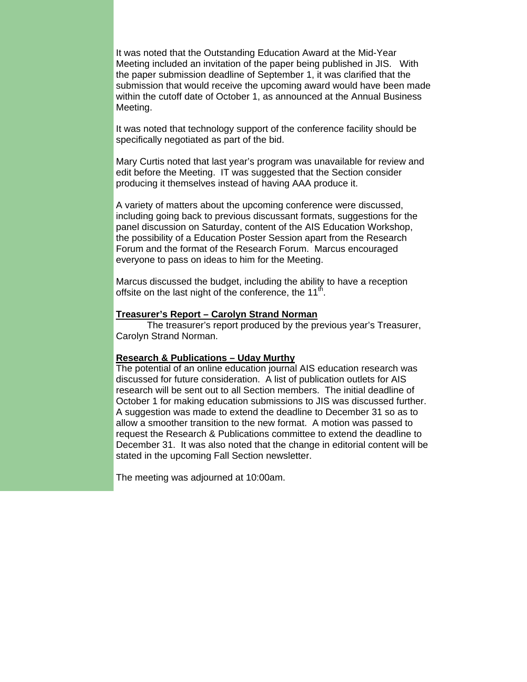It was noted that the Outstanding Education Award at the Mid-Year Meeting included an invitation of the paper being published in JIS. With the paper submission deadline of September 1, it was clarified that the submission that would receive the upcoming award would have been made within the cutoff date of October 1, as announced at the Annual Business Meeting.

It was noted that technology support of the conference facility should be specifically negotiated as part of the bid.

Mary Curtis noted that last year's program was unavailable for review and edit before the Meeting. IT was suggested that the Section consider producing it themselves instead of having AAA produce it.

A variety of matters about the upcoming conference were discussed, including going back to previous discussant formats, suggestions for the panel discussion on Saturday, content of the AIS Education Workshop, the possibility of a Education Poster Session apart from the Research Forum and the format of the Research Forum. Marcus encouraged everyone to pass on ideas to him for the Meeting.

Marcus discussed the budget, including the ability to have a reception offsite on the last night of the conference, the  $11<sup>th</sup>$ .

#### **Treasurer's Report – Carolyn Strand Norman**

 The treasurer's report produced by the previous year's Treasurer, Carolyn Strand Norman.

#### **Research & Publications – Uday Murthy**

The potential of an online education journal AIS education research was discussed for future consideration. A list of publication outlets for AIS research will be sent out to all Section members. The initial deadline of October 1 for making education submissions to JIS was discussed further. A suggestion was made to extend the deadline to December 31 so as to allow a smoother transition to the new format. A motion was passed to request the Research & Publications committee to extend the deadline to December 31. It was also noted that the change in editorial content will be stated in the upcoming Fall Section newsletter.

The meeting was adjourned at 10:00am.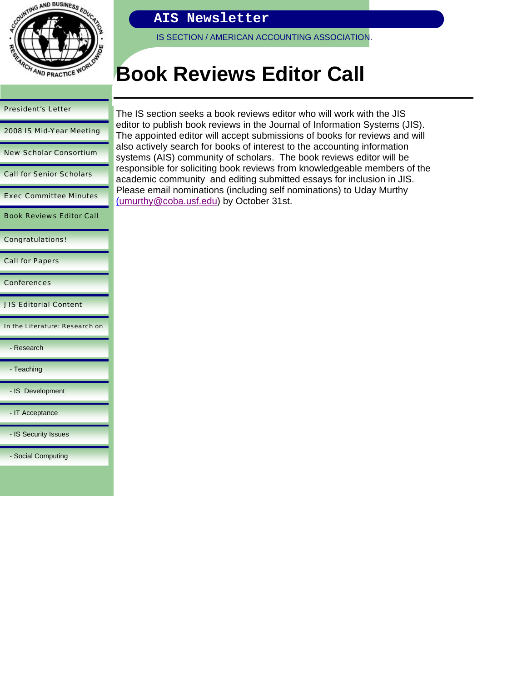

IS SECTION / AMERICAN ACCOUNTING ASSOCIATION.

# **Book Reviews Editor Call**

| <b>President's Letter</b>       |
|---------------------------------|
| 2008 IS Mid-Year Meeting        |
| <b>New Scholar Consortium</b>   |
| <b>Call for Senior Scholars</b> |
| <b>Exec Committee Minutes</b>   |
| <b>Book Reviews Editor Call</b> |
| <b>Congratulations!</b>         |
| <b>Call for Papers</b>          |
| <b>Conferences</b>              |
| <b>JIS Editorial Content</b>    |
| In the Literature: Research on  |
| - Research                      |
| - Teaching                      |
| - IS Development                |
| - IT Acceptance                 |
| - IS Security Issues            |
| - Social Computing              |

The IS section seeks a book reviews editor who will work with the JIS editor to publish book reviews in the Journal of Information Systems (JIS). The appointed editor will accept submissions of books for reviews and will also actively search for books of interest to the accounting information systems (AIS) community of scholars. The book reviews editor will be responsible for soliciting book reviews from knowledgeable members of the academic community and editing submitted essays for inclusion in JIS. Please email nominations (including self nominations) to Uday Murthy (umurthy@coba.usf.edu) by October 31st.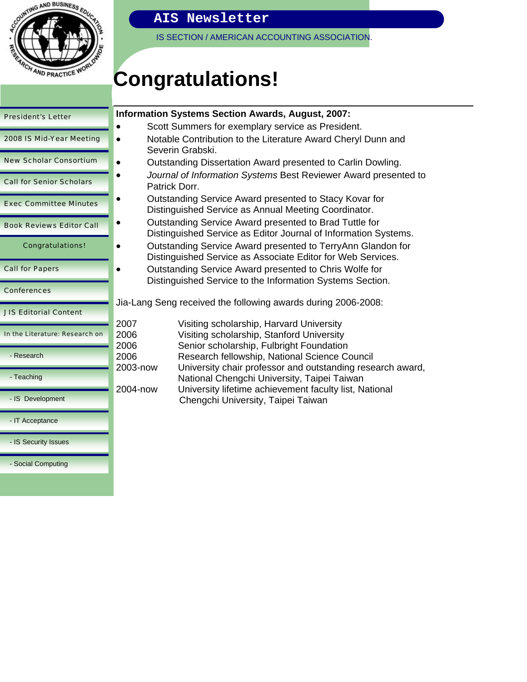

IS SECTION / AMERICAN ACCOUNTING ASSOCIATION.

# **Congratulations!**

| <b>President's Letter</b>       | In             |
|---------------------------------|----------------|
| 2008 IS Mid-Year Meeting        |                |
| <b>New Scholar Consortium</b>   |                |
| <b>Call for Senior Scholars</b> |                |
| <b>Exec Committee Minutes</b>   |                |
| <b>Book Reviews Editor Call</b> |                |
| <b>Congratulations!</b>         |                |
| <b>Call for Papers</b>          |                |
| <b>Conferences</b>              |                |
| <b>JIS Editorial Content</b>    | نال            |
| In the Literature: Research on  | 20<br>20       |
| - Research                      | 20<br>20       |
| - Teaching                      | 2 <sub>C</sub> |
| - IS Development                | 2 <sub>C</sub> |
| - IT Acceptance                 |                |
| - IS Security Issues            |                |
| - Social Computing              |                |

## **Information Systems Section Awards, August, 2007:**

- Scott Summers for exemplary service as President.
- Notable Contribution to the Literature Award Cheryl Dunn and Severin Grabski.
- Outstanding Dissertation Award presented to Carlin Dowling.
- *Journal of Information Systems* Best Reviewer Award presented to Patrick Dorr.
- Outstanding Service Award presented to Stacy Kovar for Distinguished Service as Annual Meeting Coordinator.
- Outstanding Service Award presented to Brad Tuttle for Distinguished Service as Editor Journal of Information Systems.
- Outstanding Service Award presented to TerryAnn Glandon for Distinguished Service as Associate Editor for Web Services.
	- Outstanding Service Award presented to Chris Wolfe for Distinguished Service to the Information Systems Section.

a-Lang Seng received the following awards during 2006-2008:

| 2007     | Visiting scholarship, Harvard University                                                                  |
|----------|-----------------------------------------------------------------------------------------------------------|
| 2006     | Visiting scholarship, Stanford University                                                                 |
| 2006     | Senior scholarship, Fulbright Foundation                                                                  |
| 2006     | Research fellowship, National Science Council                                                             |
| 2003-now | University chair professor and outstanding research award,<br>National Chengchi University, Taipei Taiwan |
| 2004-now | University lifetime achievement faculty list, National<br>Chengchi University, Taipei Taiwan              |
|          |                                                                                                           |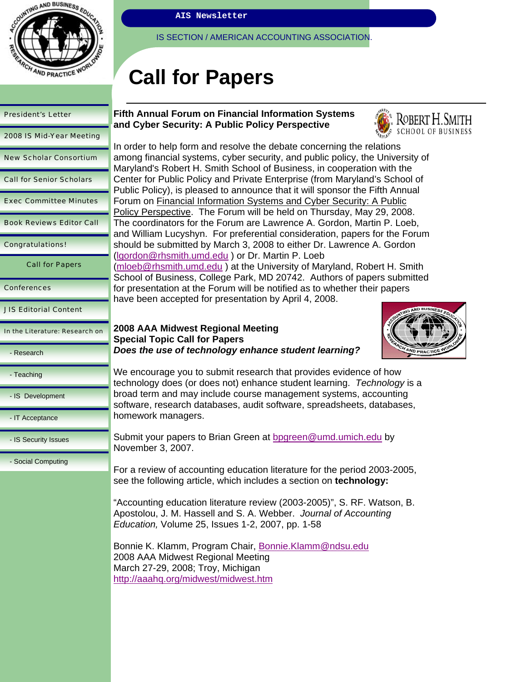

IS SECTION / AMERICAN ACCOUNTING ASSOCIATION

# **Call for Papers**

| <b>President's Letter</b>       | <b>Fifth Annua</b><br>and Cyber                         |
|---------------------------------|---------------------------------------------------------|
| 2008 IS Mid-Year Meeting        | In order to h                                           |
| <b>New Scholar Consortium</b>   | among finar                                             |
| <b>Call for Senior Scholars</b> | Maryland's<br>Center for F                              |
| <b>Exec Committee Minutes</b>   | <b>Public Polic</b><br>Forum on F                       |
| <b>Book Reviews Editor Call</b> | Policy Pers<br>The coordin                              |
| <b>Congratulations!</b>         | and William<br>should be s                              |
| <b>Call for Papers</b>          | (Igordon@rl<br>(mloeb@rhs<br>School of B                |
| <b>Conferences</b>              | for presenta                                            |
| <b>JIS Editorial Content</b>    | have been a                                             |
| In the Literature: Research on  | 2008 AAA I<br>Special To                                |
| - Research                      | Does the u                                              |
| - Teaching                      | We encoura<br>technology                                |
| - IS Development                | broad term<br>software, re                              |
| - IT Acceptance                 | homework r                                              |
| - IS Security Issues            | Submit your<br>November 3                               |
| - Social Computing              | For a reviev<br>see the follo                           |
|                                 | "Accounting<br>Apostolou,<br>Education,                 |
|                                 | Bonnie K. K<br>2008 AAA M<br>March 27-2<br>http://aaaho |
|                                 |                                                         |

#### **Fifth Annual Forum on Financial Information Systems Security: A Public Policy Perspective**



help form and resolve the debate concerning the relations ncial systems, cyber security, and public policy, the University of Robert H. Smith School of Business, in cooperation with the Public Policy and Private Enterprise (from Maryland's School of y), is pleased to announce that it will sponsor the Fifth Annual inancial Information Systems and Cyber Security: A Public pective. The Forum will be held on Thursday, May 29, 2008. ators for the Forum are Lawrence A. Gordon, Martin P. Loeb, Lucyshyn. For preferential consideration, papers for the Forum ubmitted by March 3, 2008 to either Dr. Lawrence A. Gordon hsmith.umd.edu ) or Dr. Martin P. Loeb smith.umd.edu ) at the University of Maryland, Robert H. Smith usiness, College Park, MD 20742. Authors of papers submitted ation at the Forum will be notified as to whether their papers accepted for presentation by April 4, 2008.

#### **2008 AAA Midwest Regional Meeting Special Topic Call for Papers**  *<u>se</u> of technology enhance student learning?*



age you to submit research that provides evidence of how does (or does not) enhance student learning. *Technology* is a and may include course management systems, accounting search databases, audit software, spreadsheets, databases, managers.

r papers to Brian Green at bpgreen@umd.umich.edu by 3, 2007.

v of accounting education literature for the period 2003-2005, see the following article, which includes a section on **technology:** 

1 education literature review (2003-2005)", S. RF. Watson, B. J. M. Hassell and S. A. Webber. *Journal of Accounting Education,* Volume 25, Issues 1-2, 2007, pp. 1-58

Klamm, Program Chair, Bonnie.Klamm@ndsu.edu Midwest Regional Meeting 9, 2008; Troy, Michigan a.org/midwest/midwest.htm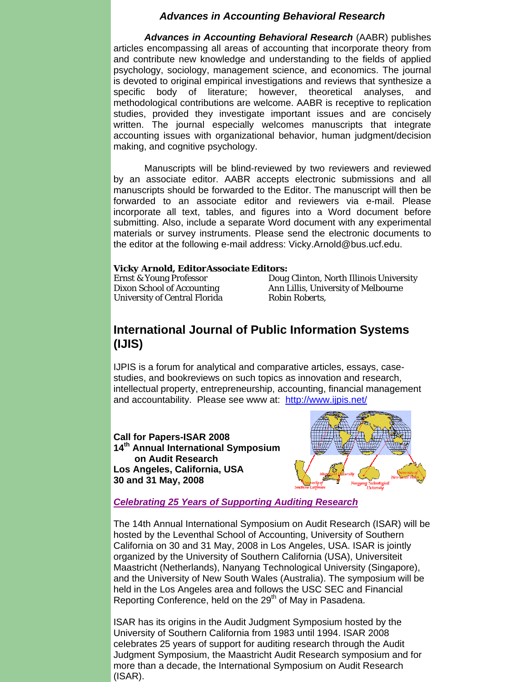#### *Advances in Accounting Behavioral Research*

*Advances in Accounting Behavioral Research* (AABR) publishes articles encompassing all areas of accounting that incorporate theory from and contribute new knowledge and understanding to the fields of applied psychology, sociology, management science, and economics. The journal is devoted to original empirical investigations and reviews that synthesize a specific body of literature; however, theoretical analyses, and methodological contributions are welcome. AABR is receptive to replication studies, provided they investigate important issues and are concisely written. The journal especially welcomes manuscripts that integrate accounting issues with organizational behavior, human judgment/decision making, and cognitive psychology.

Manuscripts will be blind-reviewed by two reviewers and reviewed by an associate editor. AABR accepts electronic submissions and all manuscripts should be forwarded to the Editor. The manuscript will then be forwarded to an associate editor and reviewers via e-mail. Please incorporate all text, tables, and figures into a Word document before submitting. Also, include a separate Word document with any experimental materials or survey instruments. Please send the electronic documents to the editor at the following e-mail address: Vicky.Arnold@bus.ucf.edu.

#### *Vicky Arnold, Editor Associate Editors:*

University of Central Florida *Robin Roberts*,

Ernst & Young Professor *Doug Clinton*, North Illinois University Dixon School of Accounting *Ann Lillis*, University of Melbourne

### **International Journal of Public Information Systems (IJIS)**

IJPIS is a forum for analytical and comparative articles, essays, casestudies, and bookreviews on such topics as innovation and research, intellectual property, entrepreneurship, accounting, financial management and accountability. Please see www at: http://www.ijpis.net/

**Call for Papers-ISAR 2008 14th Annual International Symposium on Audit Research Los Angeles, California, USA 30 and 31 May, 2008** 



#### *Celebrating 25 Years of Supporting Auditing Research*

The 14th Annual International Symposium on Audit Research (ISAR) will be hosted by the Leventhal School of Accounting, University of Southern California on 30 and 31 May, 2008 in Los Angeles, USA. ISAR is jointly organized by the University of Southern California (USA), Universiteit Maastricht (Netherlands), Nanyang Technological University (Singapore), and the University of New South Wales (Australia). The symposium will be held in the Los Angeles area and follows the USC SEC and Financial Reporting Conference, held on the 29<sup>th</sup> of May in Pasadena.

ISAR has its origins in the Audit Judgment Symposium hosted by the University of Southern California from 1983 until 1994. ISAR 2008 celebrates 25 years of support for auditing research through the Audit Judgment Symposium, the Maastricht Audit Research symposium and for more than a decade, the International Symposium on Audit Research (ISAR).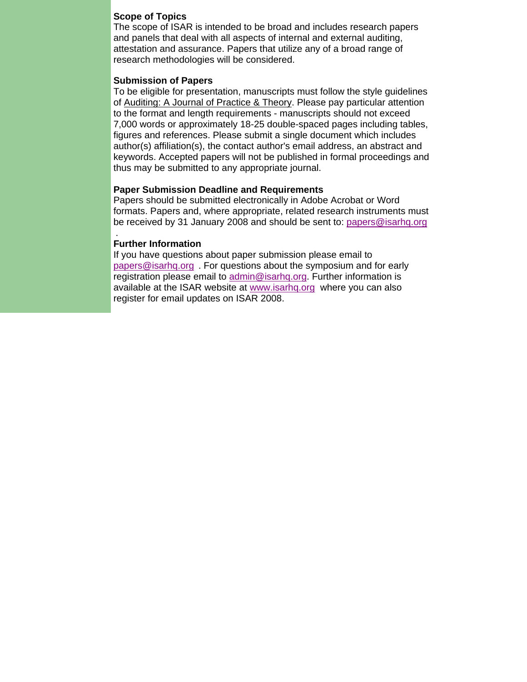#### **Scope of Topics**

The scope of ISAR is intended to be broad and includes research papers and panels that deal with all aspects of internal and external auditing, attestation and assurance. Papers that utilize any of a broad range of research methodologies will be considered.

#### **Submission of Papers**

To be eligible for presentation, manuscripts must follow the style guidelines of Auditing: A Journal of Practice & Theory. Please pay particular attention to the format and length requirements - manuscripts should not exceed 7,000 words or approximately 18-25 double-spaced pages including tables, figures and references. Please submit a single document which includes author(s) affiliation(s), the contact author's email address, an abstract and keywords. Accepted papers will not be published in formal proceedings and thus may be submitted to any appropriate journal.

#### **Paper Submission Deadline and Requirements**

Papers should be submitted electronically in Adobe Acrobat or Word formats. Papers and, where appropriate, related research instruments must be received by 31 January 2008 and should be sent to: papers@isarhq.org

#### **Further Information**

.

If you have questions about paper submission please email to papers@isarhq.org . For questions about the symposium and for early registration please email to admin@isarhq.org. Further information is available at the ISAR website at www.isarhq.org where you can also register for email updates on ISAR 2008.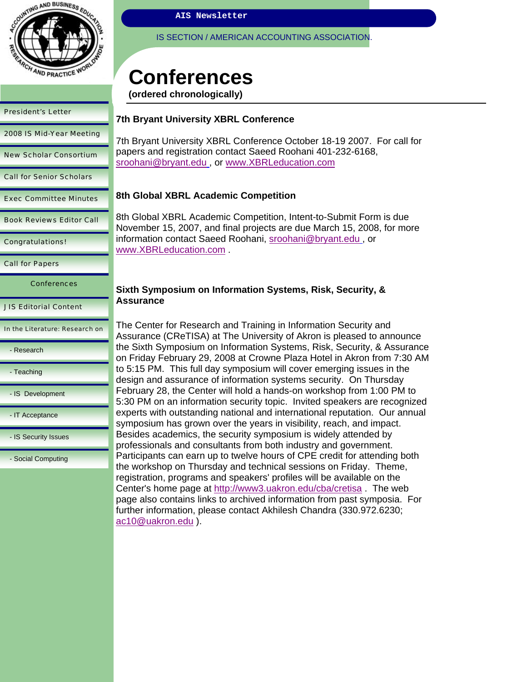

2008 IS Mid-Year Meeting

New Scholar Consortium

Call for Senior Scholars

Exec Committee Minutes

Book Reviews Editor Call

Congratulations!

Call for Papers

**Conferences** 

JIS Editorial Content

In the Literature: Research on

- Research

- Teaching

- IS Development

- IT Acceptance

- IS Security Issues

- Social Computing

**AIS Newsletter** 

IS SECTION / AMERICAN ACCOUNTING ASSOCIATION.

# **Conferences**

**(ordered chronologically)**

#### **7th Bryant University XBRL Conference**

7th Bryant University XBRL Conference October 18-19 2007. For call for papers and registration contact Saeed Roohani 401-232-6168, sroohani@bryant.edu , or www.XBRLeducation.com

#### **8th Global XBRL Academic Competition**

8th Global XBRL Academic Competition, Intent-to-Submit Form is due November 15, 2007, and final projects are due March 15, 2008, for more information contact Saeed Roohani, sroohani@bryant.edu , or www.XBRLeducation.com .

#### **Sixth Symposium on Information Systems, Risk, Security, & Assurance**

The Center for Research and Training in Information Security and Assurance (CReTISA) at The University of Akron is pleased to announce the Sixth Symposium on Information Systems, Risk, Security, & Assurance on Friday February 29, 2008 at Crowne Plaza Hotel in Akron from 7:30 AM to 5:15 PM. This full day symposium will cover emerging issues in the design and assurance of information systems security. On Thursday February 28, the Center will hold a hands-on workshop from 1:00 PM to 5:30 PM on an information security topic. Invited speakers are recognized experts with outstanding national and international reputation. Our annual symposium has grown over the years in visibility, reach, and impact. Besides academics, the security symposium is widely attended by professionals and consultants from both industry and government. Participants can earn up to twelve hours of CPE credit for attending both the workshop on Thursday and technical sessions on Friday. Theme, registration, programs and speakers' profiles will be available on the Center's home page at http://www3.uakron.edu/cba/cretisa . The web page also contains links to archived information from past symposia. For further information, please contact Akhilesh Chandra (330.972.6230; ac10@uakron.edu ).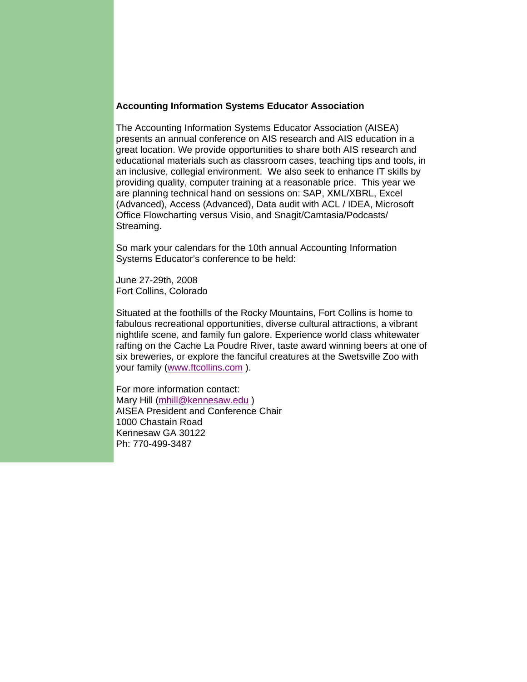#### **Accounting Information Systems Educator Association**

The Accounting Information Systems Educator Association (AISEA) presents an annual conference on AIS research and AIS education in a great location. We provide opportunities to share both AIS research and educational materials such as classroom cases, teaching tips and tools, in an inclusive, collegial environment. We also seek to enhance IT skills by providing quality, computer training at a reasonable price. This year we are planning technical hand on sessions on: SAP, XML/XBRL, Excel (Advanced), Access (Advanced), Data audit with ACL / IDEA, Microsoft Office Flowcharting versus Visio, and Snagit/Camtasia/Podcasts/ Streaming.

So mark your calendars for the 10th annual Accounting Information Systems Educator's conference to be held:

June 27-29th, 2008 Fort Collins, Colorado

Situated at the foothills of the Rocky Mountains, Fort Collins is home to fabulous recreational opportunities, diverse cultural attractions, a vibrant nightlife scene, and family fun galore. Experience world class whitewater rafting on the Cache La Poudre River, taste award winning beers at one of six breweries, or explore the fanciful creatures at the Swetsville Zoo with your family (www.ftcollins.com ).

For more information contact: Mary Hill (mhill@kennesaw.edu) AISEA President and Conference Chair 1000 Chastain Road Kennesaw GA 30122 Ph: 770-499-3487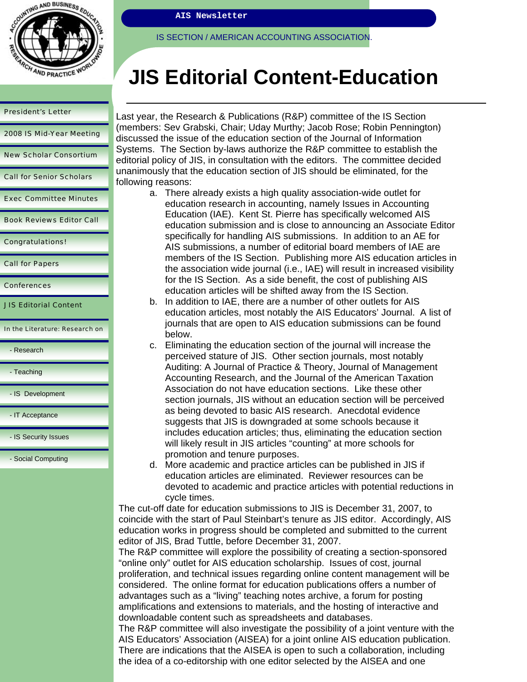

**AIS Newsletter** 

IS SECTION / AMERICAN ACCOUNTING ASSOCIATION.

# **JIS Editorial Content-Education**

| 2008 IS Mid-Year Meeting        |
|---------------------------------|
| <b>New Scholar Consortium</b>   |
| <b>Call for Senior Scholars</b> |
| <b>Exec Committee Minutes</b>   |
| <b>Book Reviews Editor Call</b> |
| <b>Congratulations!</b>         |
| <b>Call for Papers</b>          |
| <b>Conferences</b>              |
| <b>JIS Editorial Content</b>    |
| In the Literature: Research on  |
| - Research                      |
|                                 |

**Teaching** 

- IS Development

- IT Acceptance

- IS Security Issues

- Social Computing

Last year, the Research & Publications (R&P) committee of the IS Section (members: Sev Grabski, Chair; Uday Murthy; Jacob Rose; Robin Pennington) discussed the issue of the education section of the Journal of Information Systems. The Section by-laws authorize the R&P committee to establish the editorial policy of JIS, in consultation with the editors. The committee decided unanimously that the education section of JIS should be eliminated, for the following reasons:

- a. There already exists a high quality association-wide outlet for education research in accounting, namely Issues in Accounting Education (IAE). Kent St. Pierre has specifically welcomed AIS education submission and is close to announcing an Associate Editor specifically for handling AIS submissions. In addition to an AE for AIS submissions, a number of editorial board members of IAE are members of the IS Section. Publishing more AIS education articles in the association wide journal (i.e., IAE) will result in increased visibility for the IS Section. As a side benefit, the cost of publishing AIS education articles will be shifted away from the IS Section.
- b. In addition to IAE, there are a number of other outlets for AIS education articles, most notably the AIS Educators' Journal. A list of journals that are open to AIS education submissions can be found below.
- c. Eliminating the education section of the journal will increase the perceived stature of JIS. Other section journals, most notably Auditing: A Journal of Practice & Theory, Journal of Management Accounting Research, and the Journal of the American Taxation Association do not have education sections. Like these other section journals, JIS without an education section will be perceived as being devoted to basic AIS research. Anecdotal evidence suggests that JIS is downgraded at some schools because it includes education articles; thus, eliminating the education section will likely result in JIS articles "counting" at more schools for promotion and tenure purposes.
- d. More academic and practice articles can be published in JIS if education articles are eliminated. Reviewer resources can be devoted to academic and practice articles with potential reductions in cycle times.

The cut-off date for education submissions to JIS is December 31, 2007, to coincide with the start of Paul Steinbart's tenure as JIS editor. Accordingly, AIS education works in progress should be completed and submitted to the current editor of JIS, Brad Tuttle, before December 31, 2007.

The R&P committee will explore the possibility of creating a section-sponsored "online only" outlet for AIS education scholarship. Issues of cost, journal proliferation, and technical issues regarding online content management will be considered. The online format for education publications offers a number of advantages such as a "living" teaching notes archive, a forum for posting amplifications and extensions to materials, and the hosting of interactive and downloadable content such as spreadsheets and databases.

The R&P committee will also investigate the possibility of a joint venture with the AIS Educators' Association (AISEA) for a joint online AIS education publication. There are indications that the AISEA is open to such a collaboration, including the idea of a co-editorship with one editor selected by the AISEA and one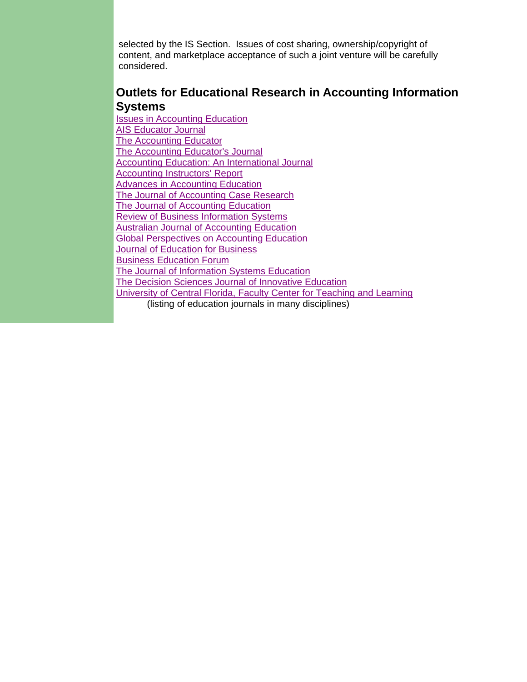selected by the IS Section. Issues of cost sharing, ownership/copyright of content, and marketplace acceptance of such a joint venture will be carefully considered.

## **Outlets for Educational Research in Accounting Information Systems**

Issues in Accounting Education AIS Educator Journal The Accounting Educator The Accounting Educator's Journal Accounting Education: An International Journal Accounting Instructors' Report Advances in Accounting Education The Journal of Accounting Case Research The Journal of Accounting Education Review of Business Information Systems Australian Journal of Accounting Education Global Perspectives on Accounting Education **Journal of Education for Business** Business Education Forum The Journal of Information Systems Education The Decision Sciences Journal of Innovative Education University of Central Florida, Faculty Center for Teaching and Learning (listing of education journals in many disciplines)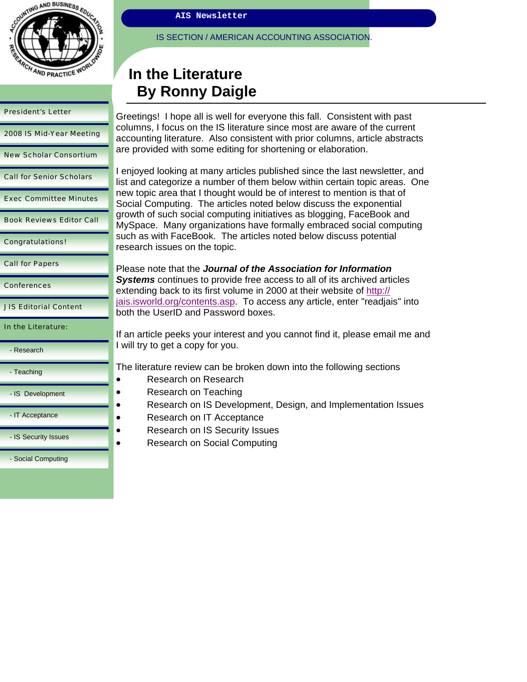

| <b>President's Letter</b>       | Greet                                   |  |  |  |
|---------------------------------|-----------------------------------------|--|--|--|
| 2008 IS Mid-Year Meeting        | colum<br>accou<br>are p                 |  |  |  |
| <b>New Scholar Consortium</b>   |                                         |  |  |  |
| <b>Call for Senior Scholars</b> | I enjo<br>list ar                       |  |  |  |
| <b>Exec Committee Minutes</b>   | new t<br>Socia                          |  |  |  |
| <b>Book Reviews Editor Call</b> | growt<br>MySp<br>such<br>resea<br>Pleas |  |  |  |
| <b>Congratulations!</b>         |                                         |  |  |  |
| <b>Call for Papers</b>          |                                         |  |  |  |
| <b>Conferences</b>              | <b>Syste</b><br>exten                   |  |  |  |
| <b>JIS Editorial Content</b>    | <u>jais.is</u><br>both t                |  |  |  |
| In the Literature:              | If an a                                 |  |  |  |
| - Research                      | I will t                                |  |  |  |
| - Teaching                      | The li                                  |  |  |  |
| - IS Development                |                                         |  |  |  |
| - IT Acceptance                 |                                         |  |  |  |
| - IS Security Issues            |                                         |  |  |  |

- Social Computing

**AIS Newsletter** 

IS SECTION / AMERICAN ACCOUNTING ASSOCIATION.

# **In the Literature By Ronny Daigle**

tings! I hope all is well for everyone this fall. Consistent with past ins, I focus on the IS literature since most are aware of the current anting literature. Also consistent with prior columns, article abstracts rovided with some editing for shortening or elaboration.

yed looking at many articles published since the last newsletter, and Ind categorize a number of them below within certain topic areas. One opic area that I thought would be of interest to mention is that of I Computing. The articles noted below discuss the exponential th of such social computing initiatives as blogging, FaceBook and ace. Many organizations have formally embraced social computing as with FaceBook. The articles noted below discuss potential rch issues on the topic.

e note that the *Journal of the Association for Information* **ems** continues to provide free access to all of its archived articles ding back to its first volume in 2000 at their website of http:// world.org/contents.asp. To access any article, enter "readjais" into the UserID and Password boxes.

article peeks your interest and you cannot find it, please email me and try to get a copy for you.

Iterature review can be broken down into the following sections

- Research on Research
- Research on Teaching
- Research on IS Development, Design, and Implementation Issues
- Research on IT Acceptance
- Research on IS Security Issues
- Research on Social Computing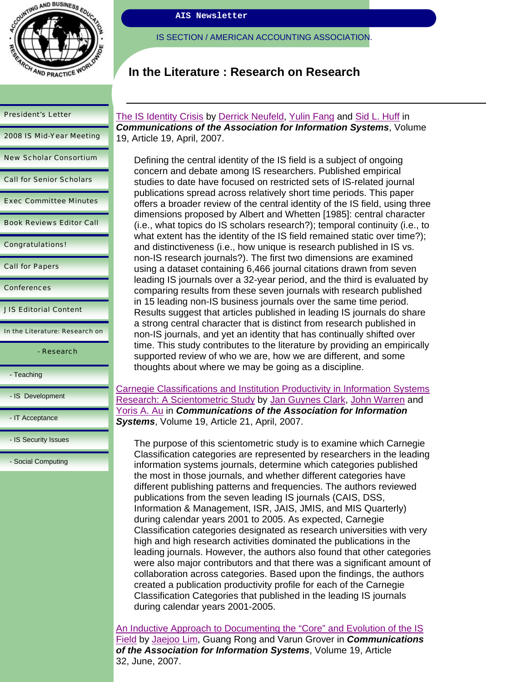

2008 IS Mid-Year Meeting

New Scholar Consortium

Call for Senior Scholars

Exec Committee Minutes

Book Reviews Editor Call

Congratulations!

Call for Papers

**Conferences** 

JIS Editorial Content

In the Literature: Research on

- Research

- Teaching

- IS Development

- IT Acceptance

- IS Security Issues

- Social Computing

**AIS Newsletter** 

IS SECTION / AMERICAN ACCOUNTING ASSOCIATION.

## **In the Literature : Research on Research**

The IS Identity Crisis by Derrick Neufeld, Yulin Fang and Sid L. Huff in *Communications of the Association for Information Systems*, Volume 19, Article 19, April, 2007.

Defining the central identity of the IS field is a subject of ongoing concern and debate among IS researchers. Published empirical studies to date have focused on restricted sets of IS-related journal publications spread across relatively short time periods. This paper offers a broader review of the central identity of the IS field, using three dimensions proposed by Albert and Whetten [1985]: central character (i.e., what topics do IS scholars research?); temporal continuity (i.e., to what extent has the identity of the IS field remained static over time?); and distinctiveness (i.e., how unique is research published in IS vs. non-IS research journals?). The first two dimensions are examined using a dataset containing 6,466 journal citations drawn from seven leading IS journals over a 32-year period, and the third is evaluated by comparing results from these seven journals with research published in 15 leading non-IS business journals over the same time period. Results suggest that articles published in leading IS journals do share a strong central character that is distinct from research published in non-IS journals, and yet an identity that has continually shifted over time. This study contributes to the literature by providing an empirically supported review of who we are, how we are different, and some thoughts about where we may be going as a discipline.

Carnegie Classifications and Institution Productivity in Information Systems Research: A Scientometric Study by Jan Guynes Clark, John Warren and Yoris A. Au in *Communications of the Association for Information Systems*, Volume 19, Article 21, April, 2007.

The purpose of this scientometric study is to examine which Carnegie Classification categories are represented by researchers in the leading information systems journals, determine which categories published the most in those journals, and whether different categories have different publishing patterns and frequencies. The authors reviewed publications from the seven leading IS journals (CAIS, DSS, Information & Management, ISR, JAIS, JMIS, and MIS Quarterly) during calendar years 2001 to 2005. As expected, Carnegie Classification categories designated as research universities with very high and high research activities dominated the publications in the leading journals. However, the authors also found that other categories were also major contributors and that there was a significant amount of collaboration across categories. Based upon the findings, the authors created a publication productivity profile for each of the Carnegie Classification Categories that published in the leading IS journals during calendar years 2001-2005.

An Inductive Approach to Documenting the "Core" and Evolution of the IS Field by Jaejoo Lim, Guang Rong and Varun Grover in *Communications of the Association for Information Systems*, Volume 19, Article 32, June, 2007.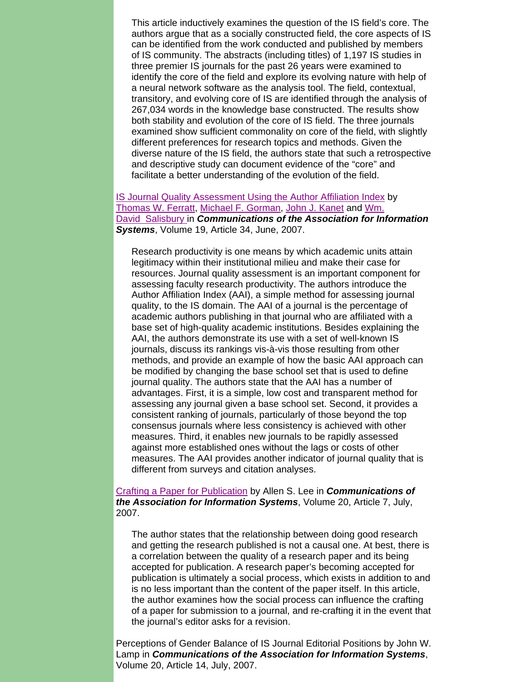This article inductively examines the question of the IS field's core. The authors argue that as a socially constructed field, the core aspects of IS can be identified from the work conducted and published by members of IS community. The abstracts (including titles) of 1,197 IS studies in three premier IS journals for the past 26 years were examined to identify the core of the field and explore its evolving nature with help of a neural network software as the analysis tool. The field, contextual, transitory, and evolving core of IS are identified through the analysis of 267,034 words in the knowledge base constructed. The results show both stability and evolution of the core of IS field. The three journals examined show sufficient commonality on core of the field, with slightly different preferences for research topics and methods. Given the diverse nature of the IS field, the authors state that such a retrospective and descriptive study can document evidence of the "core" and facilitate a better understanding of the evolution of the field.

#### IS Journal Quality Assessment Using the Author Affiliation Index by Thomas W. Ferratt, Michael F. Gorman, John J. Kanet and Wm. David Salisbury in *Communications of the Association for Information Systems*, Volume 19, Article 34, June, 2007.

Research productivity is one means by which academic units attain legitimacy within their institutional milieu and make their case for resources. Journal quality assessment is an important component for assessing faculty research productivity. The authors introduce the Author Affiliation Index (AAI), a simple method for assessing journal quality, to the IS domain. The AAI of a journal is the percentage of academic authors publishing in that journal who are affiliated with a base set of high-quality academic institutions. Besides explaining the AAI, the authors demonstrate its use with a set of well-known IS journals, discuss its rankings vis-à-vis those resulting from other methods, and provide an example of how the basic AAI approach can be modified by changing the base school set that is used to define journal quality. The authors state that the AAI has a number of advantages. First, it is a simple, low cost and transparent method for assessing any journal given a base school set. Second, it provides a consistent ranking of journals, particularly of those beyond the top consensus journals where less consistency is achieved with other measures. Third, it enables new journals to be rapidly assessed against more established ones without the lags or costs of other measures. The AAI provides another indicator of journal quality that is different from surveys and citation analyses.

#### Crafting a Paper for Publication by Allen S. Lee in *Communications of the Association for Information Systems*, Volume 20, Article 7, July, 2007.

The author states that the relationship between doing good research and getting the research published is not a causal one. At best, there is a correlation between the quality of a research paper and its being accepted for publication. A research paper's becoming accepted for publication is ultimately a social process, which exists in addition to and is no less important than the content of the paper itself. In this article, the author examines how the social process can influence the crafting of a paper for submission to a journal, and re-crafting it in the event that the journal's editor asks for a revision.

Perceptions of Gender Balance of IS Journal Editorial Positions by John W. Lamp in *Communications of the Association for Information Systems*, Volume 20, Article 14, July, 2007.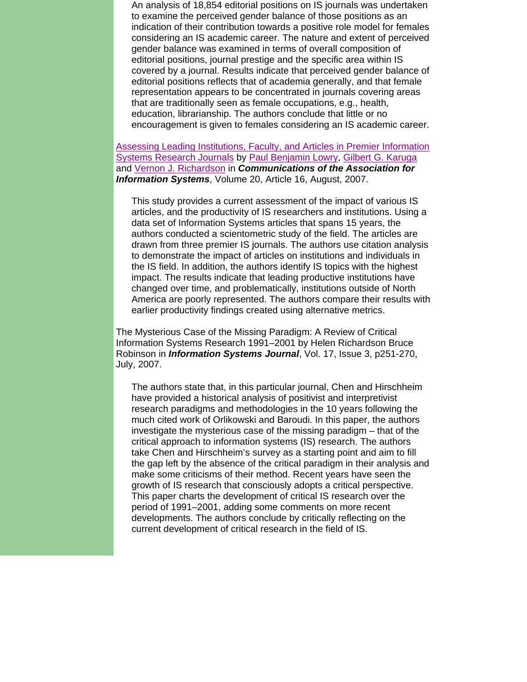An analysis of 18,854 editorial positions on IS journals was undertaken to examine the perceived gender balance of those positions as an indication of their contribution towards a positive role model for females considering an IS academic career. The nature and extent of perceived gender balance was examined in terms of overall composition of editorial positions, journal prestige and the specific area within IS covered by a journal. Results indicate that perceived gender balance of editorial positions reflects that of academia generally, and that female representation appears to be concentrated in journals covering areas that are traditionally seen as female occupations, e.g., health, education, librarianship. The authors conclude that little or no encouragement is given to females considering an IS academic career.

Assessing Leading Institutions, Faculty, and Articles in Premier Information Systems Research Journals by Paul Benjamin Lowry, Gilbert G. Karuga and Vernon J. Richardson in *Communications of the Association for Information Systems*, Volume 20, Article 16, August, 2007.

This study provides a current assessment of the impact of various IS articles, and the productivity of IS researchers and institutions. Using a data set of Information Systems articles that spans 15 years, the authors conducted a scientometric study of the field. The articles are drawn from three premier IS journals. The authors use citation analysis to demonstrate the impact of articles on institutions and individuals in the IS field. In addition, the authors identify IS topics with the highest impact. The results indicate that leading productive institutions have changed over time, and problematically, institutions outside of North America are poorly represented. The authors compare their results with earlier productivity findings created using alternative metrics.

The Mysterious Case of the Missing Paradigm: A Review of Critical Information Systems Research 1991–2001 by Helen Richardson Bruce Robinson in *Information Systems Journal*, Vol. 17, Issue 3, p251-270, July, 2007.

The authors state that, in this particular journal, Chen and Hirschheim have provided a historical analysis of positivist and interpretivist research paradigms and methodologies in the 10 years following the much cited work of Orlikowski and Baroudi. In this paper, the authors investigate the mysterious case of the missing paradigm – that of the critical approach to information systems (IS) research. The authors take Chen and Hirschheim's survey as a starting point and aim to fill the gap left by the absence of the critical paradigm in their analysis and make some criticisms of their method. Recent years have seen the growth of IS research that consciously adopts a critical perspective. This paper charts the development of critical IS research over the period of 1991–2001, adding some comments on more recent developments. The authors conclude by critically reflecting on the current development of critical research in the field of IS.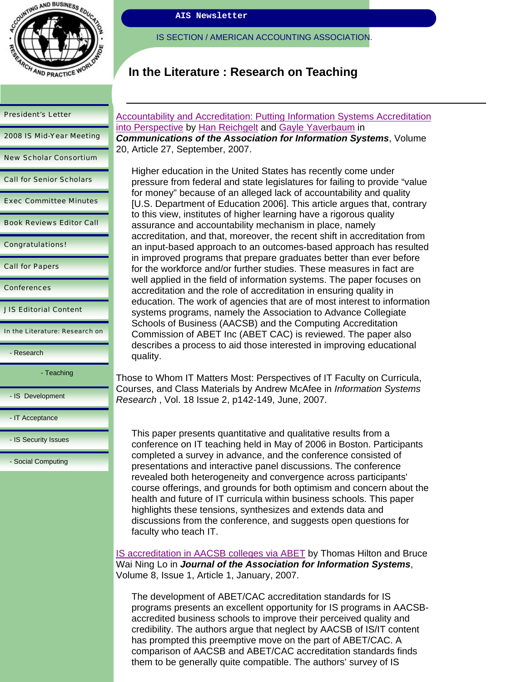

2008 IS Mid-Year Meeting

New Scholar Consortium

Call for Senior Scholars

Exec Committee Minutes

Book Reviews Editor Call

Congratulations!

Call for Papers

**Conferences** 

JIS Editorial Content

In the Literature: Research on

- Research

- Teaching

- IS Development

- IT Acceptance

- IS Security Issues

- Social Computing

**AIS Newsletter** 

IS SECTION / AMERICAN ACCOUNTING ASSOCIATION.

# **In the Literature : Research on Teaching**

**Accountability and Accreditation: Putting Information Systems Accreditation** into Perspective by Han Reichgelt and Gayle Yaverbaum in *Communications of the Association for Information Systems*, Volume 20, Article 27, September, 2007.

Higher education in the United States has recently come under pressure from federal and state legislatures for failing to provide "value for money" because of an alleged lack of accountability and quality [U.S. Department of Education 2006]. This article argues that, contrary to this view, institutes of higher learning have a rigorous quality assurance and accountability mechanism in place, namely accreditation, and that, moreover, the recent shift in accreditation from an input-based approach to an outcomes-based approach has resulted in improved programs that prepare graduates better than ever before for the workforce and/or further studies. These measures in fact are well applied in the field of information systems. The paper focuses on accreditation and the role of accreditation in ensuring quality in education. The work of agencies that are of most interest to information systems programs, namely the Association to Advance Collegiate Schools of Business (AACSB) and the Computing Accreditation Commission of ABET Inc (ABET CAC) is reviewed. The paper also describes a process to aid those interested in improving educational quality.

Those to Whom IT Matters Most: Perspectives of IT Faculty on Curricula, Courses, and Class Materials by Andrew McAfee in *Information Systems Research* , Vol. 18 Issue 2, p142-149, June, 2007.

This paper presents quantitative and qualitative results from a conference on IT teaching held in May of 2006 in Boston. Participants completed a survey in advance, and the conference consisted of presentations and interactive panel discussions. The conference revealed both heterogeneity and convergence across participants' course offerings, and grounds for both optimism and concern about the health and future of IT curricula within business schools. This paper highlights these tensions, synthesizes and extends data and discussions from the conference, and suggests open questions for faculty who teach IT.

IS accreditation in AACSB colleges via ABET by Thomas Hilton and Bruce Wai Ning Lo in *Journal of the Association for Information Systems*, Volume 8, Issue 1, Article 1, January, 2007.

The development of ABET/CAC accreditation standards for IS programs presents an excellent opportunity for IS programs in AACSBaccredited business schools to improve their perceived quality and credibility. The authors argue that neglect by AACSB of IS/IT content has prompted this preemptive move on the part of ABET/CAC. A comparison of AACSB and ABET/CAC accreditation standards finds them to be generally quite compatible. The authors' survey of IS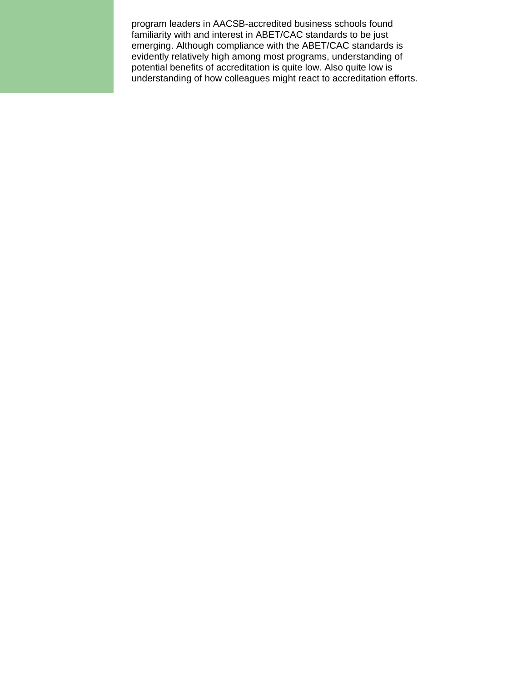program leaders in AACSB-accredited business schools found familiarity with and interest in ABET/CAC standards to be just emerging. Although compliance with the ABET/CAC standards is evidently relatively high among most programs, understanding of potential benefits of accreditation is quite low. Also quite low is understanding of how colleagues might react to accreditation efforts.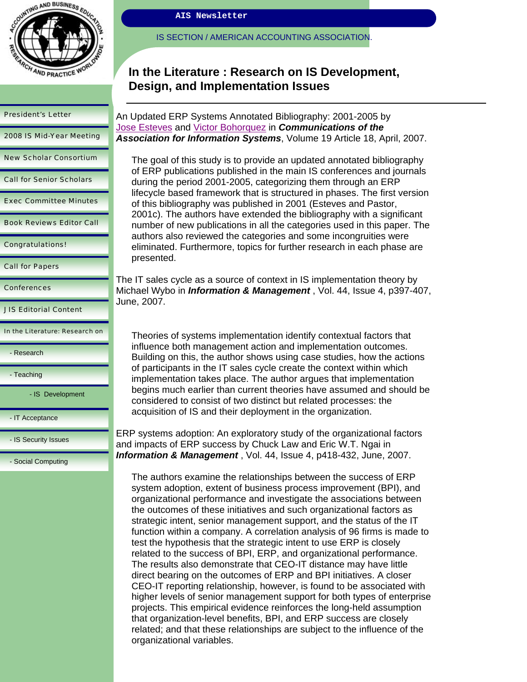

2008 IS Mid-Year Meeting

New Scholar Consortium

Call for Senior Scholars

Exec Committee Minutes

Book Reviews Editor Call

Congratulations!

Call for Papers

**Conferences** 

JIS Editorial Content

In the Literature: Research on

- Research

- Teaching

- IS Development

- IT Acceptance

- IS Security Issues

- Social Computing

IS SECTION / AMERICAN ACCOUNTING ASSOCIATION.

## **In the Literature : Research on IS Development, Design, and Implementation Issues**

An Updated ERP Systems Annotated Bibliography: 2001-2005 by Jose Esteves and Victor Bohorquez in *Communications of the Association for Information Systems*, Volume 19 Article 18, April, 2007.

The goal of this study is to provide an updated annotated bibliography of ERP publications published in the main IS conferences and journals during the period 2001-2005, categorizing them through an ERP lifecycle based framework that is structured in phases. The first version of this bibliography was published in 2001 (Esteves and Pastor, 2001c). The authors have extended the bibliography with a significant number of new publications in all the categories used in this paper. The authors also reviewed the categories and some incongruities were eliminated. Furthermore, topics for further research in each phase are presented.

The IT sales cycle as a source of context in IS implementation theory by Michael Wybo in *Information & Management* , Vol. 44, Issue 4, p397-407, June, 2007.

Theories of systems implementation identify contextual factors that influence both management action and implementation outcomes. Building on this, the author shows using case studies, how the actions of participants in the IT sales cycle create the context within which implementation takes place. The author argues that implementation begins much earlier than current theories have assumed and should be considered to consist of two distinct but related processes: the acquisition of IS and their deployment in the organization.

ERP systems adoption: An exploratory study of the organizational factors and impacts of ERP success by Chuck Law and Eric W.T. Ngai in *Information & Management* , Vol. 44, Issue 4, p418-432, June, 2007.

The authors examine the relationships between the success of ERP system adoption, extent of business process improvement (BPI), and organizational performance and investigate the associations between the outcomes of these initiatives and such organizational factors as strategic intent, senior management support, and the status of the IT function within a company. A correlation analysis of 96 firms is made to test the hypothesis that the strategic intent to use ERP is closely related to the success of BPI, ERP, and organizational performance. The results also demonstrate that CEO-IT distance may have little direct bearing on the outcomes of ERP and BPI initiatives. A closer CEO-IT reporting relationship, however, is found to be associated with higher levels of senior management support for both types of enterprise projects. This empirical evidence reinforces the long-held assumption that organization-level benefits, BPI, and ERP success are closely related; and that these relationships are subject to the influence of the organizational variables.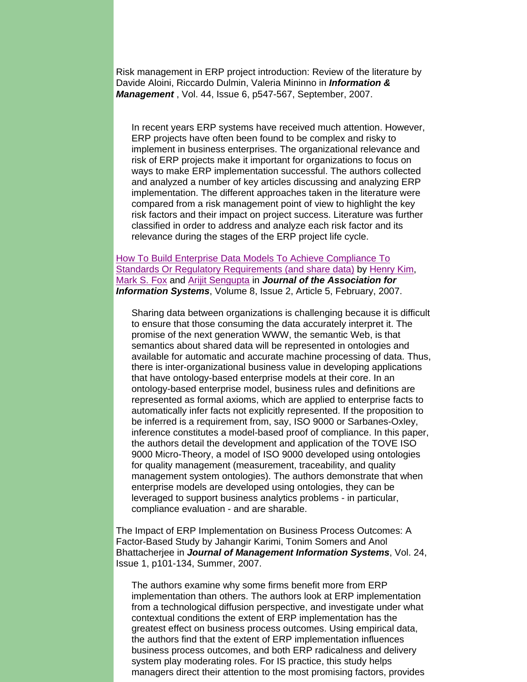Risk management in ERP project introduction: Review of the literature by Davide Aloini, Riccardo Dulmin, Valeria Mininno in *Information & Management* , Vol. 44, Issue 6, p547-567, September, 2007.

In recent years ERP systems have received much attention. However, ERP projects have often been found to be complex and risky to implement in business enterprises. The organizational relevance and risk of ERP projects make it important for organizations to focus on ways to make ERP implementation successful. The authors collected and analyzed a number of key articles discussing and analyzing ERP implementation. The different approaches taken in the literature were compared from a risk management point of view to highlight the key risk factors and their impact on project success. Literature was further classified in order to address and analyze each risk factor and its relevance during the stages of the ERP project life cycle.

How To Build Enterprise Data Models To Achieve Compliance To Standards Or Regulatory Requirements (and share data) by Henry Kim, Mark S. Fox and Arijit Sengupta in *Journal of the Association for Information Systems*, Volume 8, Issue 2, Article 5, February, 2007.

Sharing data between organizations is challenging because it is difficult to ensure that those consuming the data accurately interpret it. The promise of the next generation WWW, the semantic Web, is that semantics about shared data will be represented in ontologies and available for automatic and accurate machine processing of data. Thus, there is inter-organizational business value in developing applications that have ontology-based enterprise models at their core. In an ontology-based enterprise model, business rules and definitions are represented as formal axioms, which are applied to enterprise facts to automatically infer facts not explicitly represented. If the proposition to be inferred is a requirement from, say, ISO 9000 or Sarbanes-Oxley, inference constitutes a model-based proof of compliance. In this paper, the authors detail the development and application of the TOVE ISO 9000 Micro-Theory, a model of ISO 9000 developed using ontologies for quality management (measurement, traceability, and quality management system ontologies). The authors demonstrate that when enterprise models are developed using ontologies, they can be leveraged to support business analytics problems - in particular, compliance evaluation - and are sharable.

The Impact of ERP Implementation on Business Process Outcomes: A Factor-Based Study by Jahangir Karimi, Tonim Somers and Anol Bhattacherjee in *Journal of Management Information Systems*, Vol. 24, Issue 1, p101-134, Summer, 2007.

The authors examine why some firms benefit more from ERP implementation than others. The authors look at ERP implementation from a technological diffusion perspective, and investigate under what contextual conditions the extent of ERP implementation has the greatest effect on business process outcomes. Using empirical data, the authors find that the extent of ERP implementation influences business process outcomes, and both ERP radicalness and delivery system play moderating roles. For IS practice, this study helps managers direct their attention to the most promising factors, provides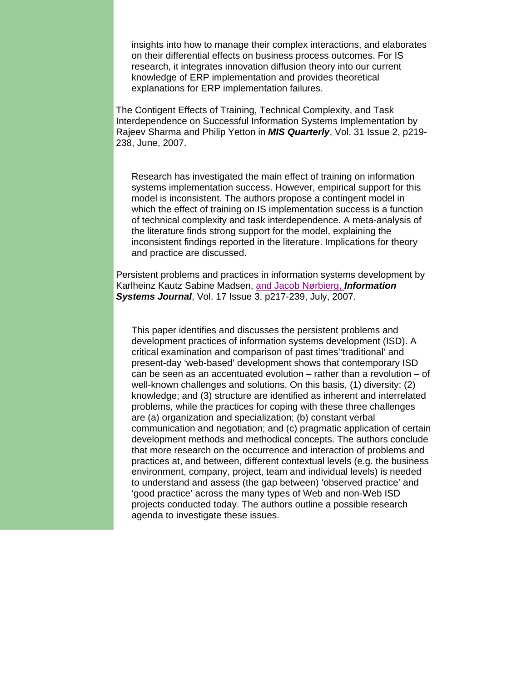insights into how to manage their complex interactions, and elaborates on their differential effects on business process outcomes. For IS research, it integrates innovation diffusion theory into our current knowledge of ERP implementation and provides theoretical explanations for ERP implementation failures.

The Contigent Effects of Training, Technical Complexity, and Task Interdependence on Successful Information Systems Implementation by Rajeev Sharma and Philip Yetton in *MIS Quarterly*, Vol. 31 Issue 2, p219- 238, June, 2007.

Research has investigated the main effect of training on information systems implementation success. However, empirical support for this model is inconsistent. The authors propose a contingent model in which the effect of training on IS implementation success is a function of technical complexity and task interdependence. A meta-analysis of the literature finds strong support for the model, explaining the inconsistent findings reported in the literature. Implications for theory and practice are discussed.

Persistent problems and practices in information systems development by Karlheinz Kautz Sabine Madsen, and Jacob Nørbierg, *Information Systems Journal*, Vol. 17 Issue 3, p217-239, July, 2007.

This paper identifies and discusses the persistent problems and development practices of information systems development (ISD). A critical examination and comparison of past times''traditional' and present-day 'web-based' development shows that contemporary ISD can be seen as an accentuated evolution – rather than a revolution – of well-known challenges and solutions. On this basis, (1) diversity; (2) knowledge; and (3) structure are identified as inherent and interrelated problems, while the practices for coping with these three challenges are (a) organization and specialization; (b) constant verbal communication and negotiation; and (c) pragmatic application of certain development methods and methodical concepts. The authors conclude that more research on the occurrence and interaction of problems and practices at, and between, different contextual levels (e.g. the business environment, company, project, team and individual levels) is needed to understand and assess (the gap between) 'observed practice' and 'good practice' across the many types of Web and non-Web ISD projects conducted today. The authors outline a possible research agenda to investigate these issues.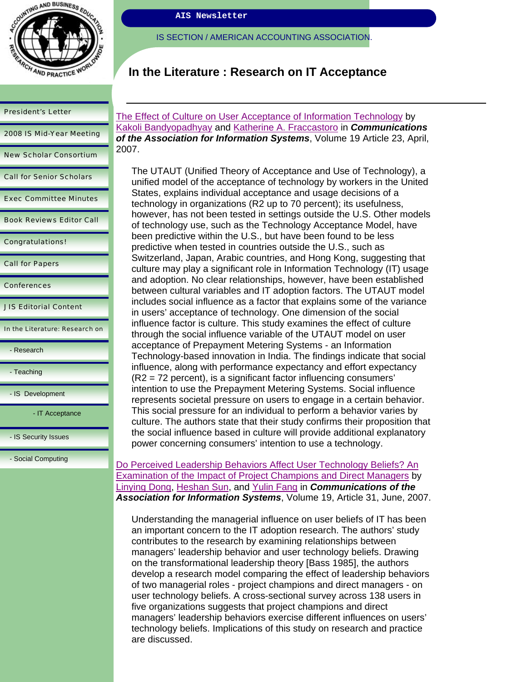

| <b>President's Letter</b> |  |
|---------------------------|--|
| 2008 IS Mid-Year Meeting  |  |

|  | <b>New Scholar Consortium</b> |
|--|-------------------------------|

Call for Senior Scholars

Exec Committee Minutes

Book Reviews Editor Call

Congratulations!

Call for Papers

Conferences

JIS Editorial Content

In the Literature: Research on

- Research

- Teaching

- IS Development

- IT Acceptance

- IS Security Issues

- Social Computing

**AIS Newsletter** 

IS SECTION / AMERICAN ACCOUNTING ASSOCIATION.

# **In the Literature : Research on IT Acceptance**

The Effect of Culture on User Acceptance of Information Technology by Kakoli Bandyopadhyay and Katherine A. Fraccastoro in *Communications of the Association for Information Systems*, Volume 19 Article 23, April, 2007.

The UTAUT (Unified Theory of Acceptance and Use of Technology), a unified model of the acceptance of technology by workers in the United States, explains individual acceptance and usage decisions of a technology in organizations (R2 up to 70 percent); its usefulness, however, has not been tested in settings outside the U.S. Other models of technology use, such as the Technology Acceptance Model, have been predictive within the U.S., but have been found to be less predictive when tested in countries outside the U.S., such as Switzerland, Japan, Arabic countries, and Hong Kong, suggesting that culture may play a significant role in Information Technology (IT) usage and adoption. No clear relationships, however, have been established between cultural variables and IT adoption factors. The UTAUT model includes social influence as a factor that explains some of the variance in users' acceptance of technology. One dimension of the social influence factor is culture. This study examines the effect of culture through the social influence variable of the UTAUT model on user acceptance of Prepayment Metering Systems - an Information Technology-based innovation in India. The findings indicate that social influence, along with performance expectancy and effort expectancy (R2 = 72 percent), is a significant factor influencing consumers' intention to use the Prepayment Metering Systems. Social influence represents societal pressure on users to engage in a certain behavior. This social pressure for an individual to perform a behavior varies by culture. The authors state that their study confirms their proposition that the social influence based in culture will provide additional explanatory power concerning consumers' intention to use a technology.

Do Perceived Leadership Behaviors Affect User Technology Beliefs? An Examination of the Impact of Project Champions and Direct Managers by Linying Dong, Heshan Sun, and Yulin Fang in *Communications of the Association for Information Systems*, Volume 19, Article 31, June, 2007.

Understanding the managerial influence on user beliefs of IT has been an important concern to the IT adoption research. The authors' study contributes to the research by examining relationships between managers' leadership behavior and user technology beliefs. Drawing on the transformational leadership theory [Bass 1985], the authors develop a research model comparing the effect of leadership behaviors of two managerial roles - project champions and direct managers - on user technology beliefs. A cross-sectional survey across 138 users in five organizations suggests that project champions and direct managers' leadership behaviors exercise different influences on users' technology beliefs. Implications of this study on research and practice are discussed.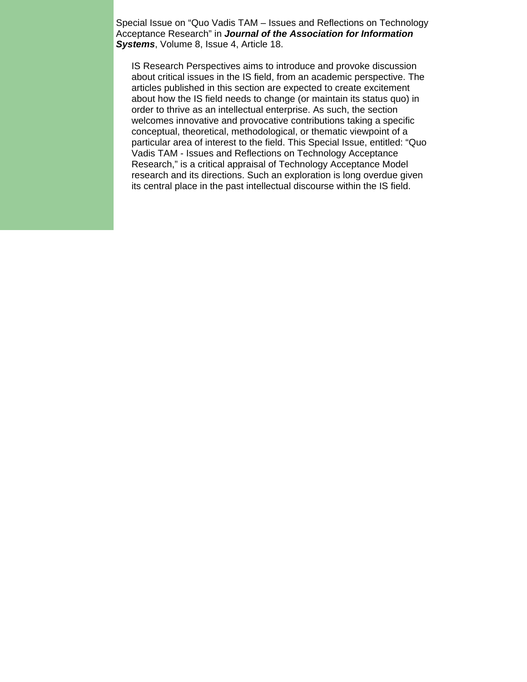Special Issue on "Quo Vadis TAM – Issues and Reflections on Technology Acceptance Research" in *Journal of the Association for Information Systems*, Volume 8, Issue 4, Article 18.

IS Research Perspectives aims to introduce and provoke discussion about critical issues in the IS field, from an academic perspective. The articles published in this section are expected to create excitement about how the IS field needs to change (or maintain its status quo) in order to thrive as an intellectual enterprise. As such, the section welcomes innovative and provocative contributions taking a specific conceptual, theoretical, methodological, or thematic viewpoint of a particular area of interest to the field. This Special Issue, entitled: "Quo Vadis TAM - Issues and Reflections on Technology Acceptance Research," is a critical appraisal of Technology Acceptance Model research and its directions. Such an exploration is long overdue given its central place in the past intellectual discourse within the IS field.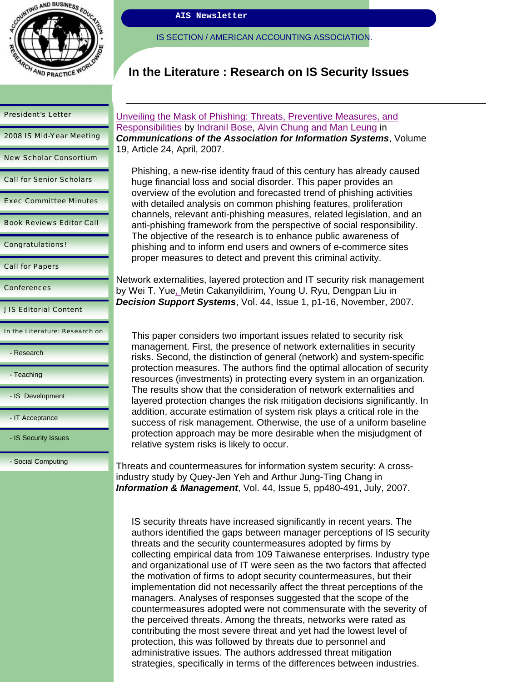

2008 IS Mid-Year Meeting

New Scholar Consortium

Call for Senior Scholars

Exec Committee Minutes

Book Reviews Editor Call

Congratulations!

Call for Papers

**Conferences** 

JIS Editorial Content

In the Literature: Research on

- Research

- Teaching

- IS Development

- IT Acceptance

- IS Security Issues

- Social Computing

**AIS Newsletter** 

IS SECTION / AMERICAN ACCOUNTING ASSOCIATION.

## **In the Literature : Research on IS Security Issues**

Unveiling the Mask of Phishing: Threats, Preventive Measures, and Responsibilities by Indranil Bose, Alvin Chung and Man Leung in *Communications of the Association for Information Systems*, Volume 19, Article 24, April, 2007.

Phishing, a new-rise identity fraud of this century has already caused huge financial loss and social disorder. This paper provides an overview of the evolution and forecasted trend of phishing activities with detailed analysis on common phishing features, proliferation channels, relevant anti-phishing measures, related legislation, and an anti-phishing framework from the perspective of social responsibility. The objective of the research is to enhance public awareness of phishing and to inform end users and owners of e-commerce sites proper measures to detect and prevent this criminal activity.

Network externalities, layered protection and IT security risk management by Wei T. Yue, Metin Cakanyildirim, Young U. Ryu, Dengpan Liu in *Decision Support Systems*, Vol. 44, Issue 1, p1-16, November, 2007.

This paper considers two important issues related to security risk management. First, the presence of network externalities in security risks. Second, the distinction of general (network) and system-specific protection measures. The authors find the optimal allocation of security resources (investments) in protecting every system in an organization. The results show that the consideration of network externalities and layered protection changes the risk mitigation decisions significantly. In addition, accurate estimation of system risk plays a critical role in the success of risk management. Otherwise, the use of a uniform baseline protection approach may be more desirable when the misjudgment of relative system risks is likely to occur.

Threats and countermeasures for information system security: A crossindustry study by Quey-Jen Yeh and Arthur Jung-Ting Chang in *Information & Management*, Vol. 44, Issue 5, pp480-491, July, 2007.

IS security threats have increased significantly in recent years. The authors identified the gaps between manager perceptions of IS security threats and the security countermeasures adopted by firms by collecting empirical data from 109 Taiwanese enterprises. Industry type and organizational use of IT were seen as the two factors that affected the motivation of firms to adopt security countermeasures, but their implementation did not necessarily affect the threat perceptions of the managers. Analyses of responses suggested that the scope of the countermeasures adopted were not commensurate with the severity of the perceived threats. Among the threats, networks were rated as contributing the most severe threat and yet had the lowest level of protection, this was followed by threats due to personnel and administrative issues. The authors addressed threat mitigation strategies, specifically in terms of the differences between industries.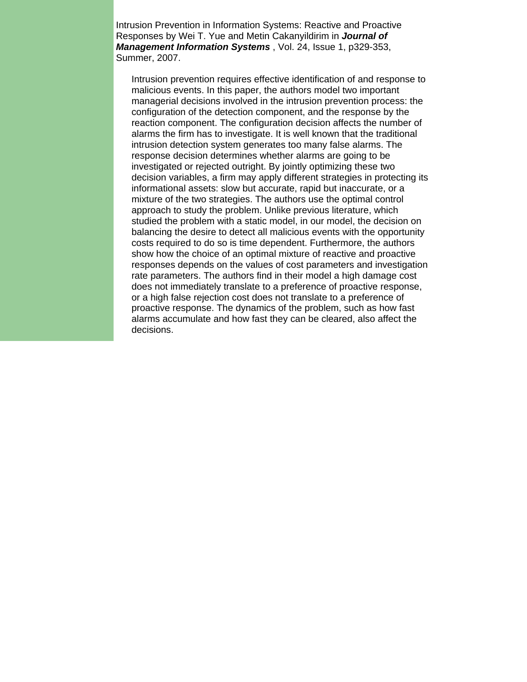Intrusion Prevention in Information Systems: Reactive and Proactive Responses by Wei T. Yue and Metin Cakanyildirim in *Journal of Management Information Systems* , Vol. 24, Issue 1, p329-353, Summer, 2007.

Intrusion prevention requires effective identification of and response to malicious events. In this paper, the authors model two important managerial decisions involved in the intrusion prevention process: the configuration of the detection component, and the response by the reaction component. The configuration decision affects the number of alarms the firm has to investigate. It is well known that the traditional intrusion detection system generates too many false alarms. The response decision determines whether alarms are going to be investigated or rejected outright. By jointly optimizing these two decision variables, a firm may apply different strategies in protecting its informational assets: slow but accurate, rapid but inaccurate, or a mixture of the two strategies. The authors use the optimal control approach to study the problem. Unlike previous literature, which studied the problem with a static model, in our model, the decision on balancing the desire to detect all malicious events with the opportunity costs required to do so is time dependent. Furthermore, the authors show how the choice of an optimal mixture of reactive and proactive responses depends on the values of cost parameters and investigation rate parameters. The authors find in their model a high damage cost does not immediately translate to a preference of proactive response, or a high false rejection cost does not translate to a preference of proactive response. The dynamics of the problem, such as how fast alarms accumulate and how fast they can be cleared, also affect the decisions.